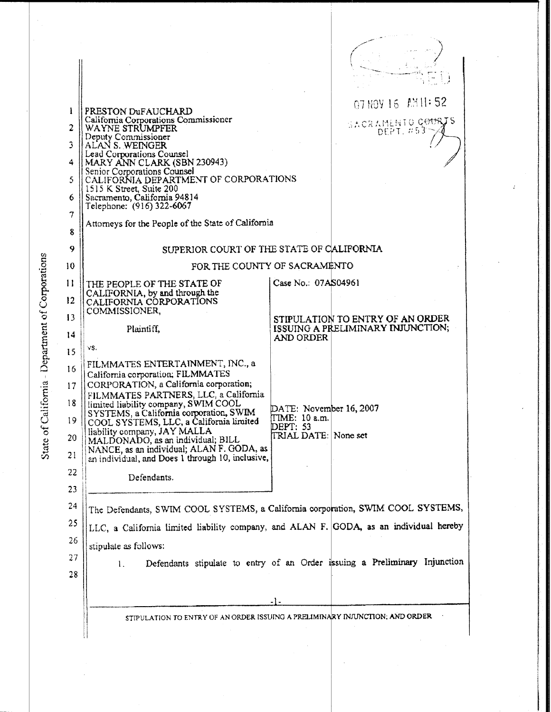|                                       | ł       | PRESTON DUFAUCHARD                                                                            | 07 NOY 16 AM 1:52                                                                      |
|---------------------------------------|---------|-----------------------------------------------------------------------------------------------|----------------------------------------------------------------------------------------|
|                                       | 2       | California Corporations Commissioner<br>WAYNE STRUMPFER                                       | SACRAMENTO COURTS                                                                      |
|                                       | 3       | Deputy Commissioner<br>ALAN S. WEINGER                                                        | DEPT. #53                                                                              |
|                                       | 4       | Lead Corporations Counsel<br>MARY ANN CLARK (SBN 230943)                                      |                                                                                        |
|                                       | 5       | Senior Corporations Counsel<br>CALIFORNIA DEPARTMENT OF CORPORATIONS                          |                                                                                        |
|                                       | 6       | 1515 K Street, Suite 200<br>Sacramento, California 94814                                      |                                                                                        |
|                                       | 7       | Telephone: (916) 322-6067                                                                     |                                                                                        |
|                                       | 8       | Attorneys for the People of the State of California                                           |                                                                                        |
|                                       | 9       | SUPERIOR COURT OF THE STATE OF CALIFORNIA                                                     |                                                                                        |
|                                       | 10      | FOR THE COUNTY OF SACRAMENTO                                                                  |                                                                                        |
|                                       | 11      | THE PEOPLE OF THE STATE OF                                                                    | Case No.: 07AS04961                                                                    |
| lifornia - Department of Corporations | $12 \,$ | CALIFORNIA, by and through the<br>CALIFORNIA CORPORATIONS                                     |                                                                                        |
|                                       | 13      | COMMISSIONER,                                                                                 | STIPULATION TO ENTRY OF AN ORDER                                                       |
|                                       | 14      | Plaintiff,                                                                                    | ISSUING A PRELIMINARY INJUNCTION;<br>AND ORDER                                         |
|                                       | 15      | VS.                                                                                           |                                                                                        |
|                                       | 16      | FILMMATES ENTERTAINMENT, INC., a                                                              |                                                                                        |
|                                       | 17      | California corporation; FILMMATES<br>CORPORATION, a California corporation;                   |                                                                                        |
|                                       | 18      | FILMMATES PARTNERS, LLC, a California<br>limited liability company, SWIM COOL                 |                                                                                        |
|                                       | 19      | SYSTEMS, a California corporation, SWIM<br>COOL SYSTEMS, LLC, a California limited            | DATE: November 16, 2007<br>[TIME: 10 a.m.                                              |
|                                       | 20      | liability company, JAY MALLA<br>MALDONADO, as an individual; BILL                             | DEPT: 53<br>TRIAL DATE: None set                                                       |
| State of Ca                           | 21      | NANCE, as an individual; ALAN F. GODA, as<br>an individual, and Does 1 through 10, inclusive, |                                                                                        |
|                                       | 22      | Defendants.                                                                                   |                                                                                        |
|                                       | 23      |                                                                                               |                                                                                        |
|                                       | 24      |                                                                                               | The Defendants, SWIM COOL SYSTEMS, a California corporation, SWIM COOL SYSTEMS,        |
|                                       | 25      |                                                                                               | LLC, a California limited liability company, and ALAN F. GODA, as an individual hereby |
|                                       | 26      | stipulate as follows:                                                                         |                                                                                        |
|                                       | 27      | $\mathbf{L}$                                                                                  | Defendants stipulate to entry of an Order issuing a Preliminary Injunction             |
|                                       | 28      |                                                                                               |                                                                                        |
|                                       |         |                                                                                               | $-1-$                                                                                  |
|                                       |         |                                                                                               | STIPULATION TO ENTRY OF AN ORDER ISSUING A PRELIMINARY INJUNCTION; AND ORDER           |
|                                       |         |                                                                                               |                                                                                        |

 $\bar{\beta}$ 

 $\cdot$ 

 $\hat{\vec{r}}$ 

l,

 $\ddot{\phantom{0}}$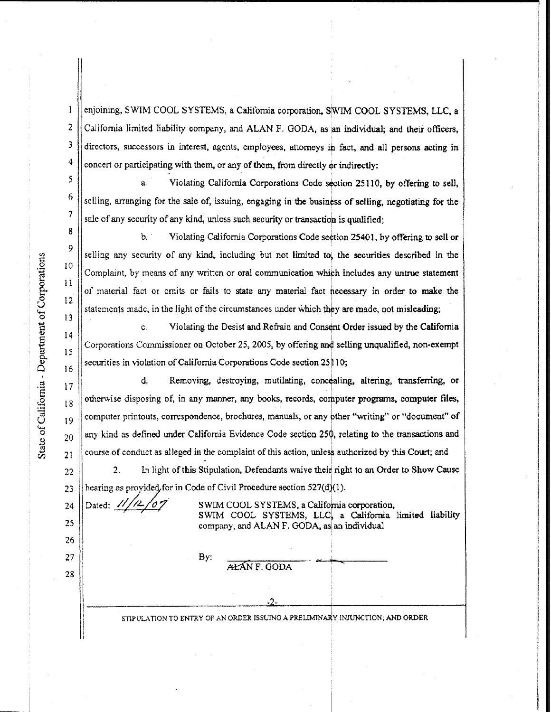$\overline{4}$  $\mathfrak{s}$ 

 $\mathbf{1}$ 

10

 $\mathbf{11}$ 

13

17  $18$ 

26

 $22$ 

28

enjoining, SWIM COOL SYSTEMS, a California corporation, SWIM COOL SYSTEMS, LLC, a  $2$  | California limited liability company, and ALAN F. GODA, as an individual; and their officers, <sup>3</sup> | directors, successors in interest, agents, employees, attorneys in fact, and all persons acting in concert or participating with them, or any of them, from directly or indirectly:

a. Violating California Corporations Code section 25110, by offering to sell, selling, arranging for the sale of, issuing, engaging in the business of selling, negotiating for the sale of any security of any kind, unless such security or transaction is qualified;

b, Violating California Corporations Code section 25401, by offering to sell or selling any security of any kind, including but not limited to, the securities described in the Complaint, by means of any written or oral communication which includes any untrue statement of material fact or omits or fails to state any material fact necessary in order to make the  $12$ statements made, in the light of the circumstances under which they are made, not misleading;

c. Violating the Desist and Refrain and Consent Order issued by the California 14 15 Corporations Commissioner on October 25, 2005, by offering and selling unqualified, non-exempt  $\vert$ securities in violation of California Corporations Code section 25 10;

Statement of California Corporations Corporations Corporations and Complaint, by means of any written or oral communication which includes any untrue statement  $\begin{bmatrix} 10 & 11 & 12 & 13 & 14 & 16 & 16 & 16 & 16 & 16 & 16 & 16 & 16 & 1$ d. Removing, destroying, mutilating, concealing, altering, transferring, or otherwise disposing of, in any manner, any books, records, computer programs, computer files,  $\frac{19}{19}$  computer printouts, correspondence, brochures, manuals, or any other "writing" or "document" of  $_{20}$  || any kind as defined under California Evidence Code section 250, relating to the transactions and

2. In light of this Stipulation, Defendants waive their right to an Order to Show Cause 23  $\parallel$  hearing as provided for in Code of Civil Procedure section 527(d)(1).

24 25

Dated:  $\frac{1}{4\sqrt{2}}$  /07 SWIM COOL SYSTEMS, a California corporation, SWIM COOL SYSTEMS, LLC, a California limited liability company, and ALAN F. GODA, as an individual

## $27 \parallel$  By:  $\frac{\text{By:}}{\text{A}\cancel{\text{H}}\text{AN F. QODA}}$

STIPULATION TO ENTRY OF AN ORDER ISSUING A PRELIMINARY INJUNCTION; AND ORDER